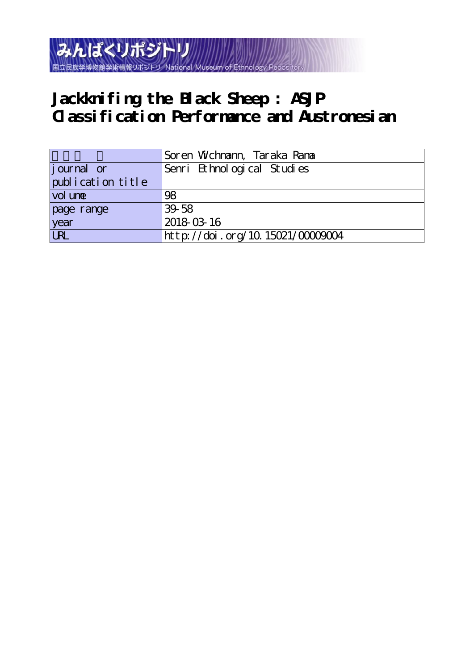

# **Jackknifing the Black Sheep : ASJP Classification Performance and Austronesian**

|                   | Soren Wchnann, Taraka Rana      |
|-------------------|---------------------------------|
| journal or        | Senri Ethnological Studies      |
| publication title |                                 |
| vol une           | 98                              |
| page range        | $39-58$                         |
| year              | 2018-03-16                      |
| URL               | http://doi.org/10.15021/0000004 |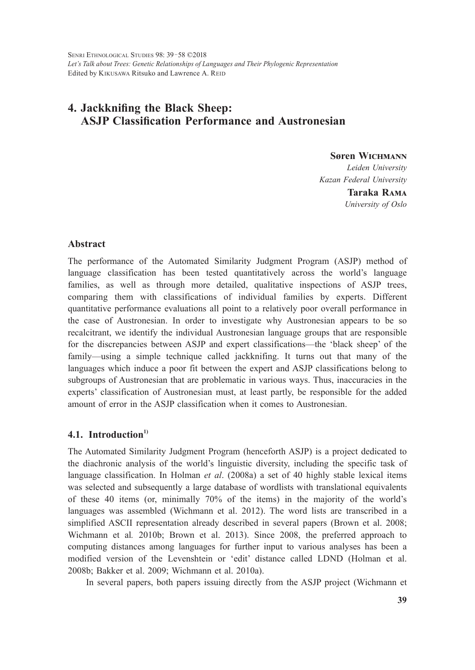# **4. Jackknifing the Black Sheep: ASJP Classification Performance and Austronesian**

**Søren WICHMANN** *Leiden University Kazan Federal University*

> **Taraka Rama** *University of Oslo*

## **Abstract**

The performance of the Automated Similarity Judgment Program (ASJP) method of language classification has been tested quantitatively across the world's language families, as well as through more detailed, qualitative inspections of ASJP trees, comparing them with classifications of individual families by experts. Different quantitative performance evaluations all point to a relatively poor overall performance in the case of Austronesian. In order to investigate why Austronesian appears to be so recalcitrant, we identify the individual Austronesian language groups that are responsible for the discrepancies between ASJP and expert classifications—the 'black sheep' of the family—using a simple technique called jackknifing. It turns out that many of the languages which induce a poor fit between the expert and ASJP classifications belong to subgroups of Austronesian that are problematic in various ways. Thus, inaccuracies in the experts' classification of Austronesian must, at least partly, be responsible for the added amount of error in the ASJP classification when it comes to Austronesian.

# **4.1. Introduction1)**

The Automated Similarity Judgment Program (henceforth ASJP) is a project dedicated to the diachronic analysis of the world's linguistic diversity, including the specific task of language classification. In Holman *et al*. (2008a) a set of 40 highly stable lexical items was selected and subsequently a large database of wordlists with translational equivalents of these 40 items (or, minimally 70% of the items) in the majority of the world's languages was assembled (Wichmann et al. 2012). The word lists are transcribed in a simplified ASCII representation already described in several papers (Brown et al. 2008; Wichmann et al*.* 2010b; Brown et al. 2013). Since 2008, the preferred approach to computing distances among languages for further input to various analyses has been a modified version of the Levenshtein or 'edit' distance called LDND (Holman et al. 2008b; Bakker et al. 2009; Wichmann et al. 2010a).

In several papers, both papers issuing directly from the ASJP project (Wichmann et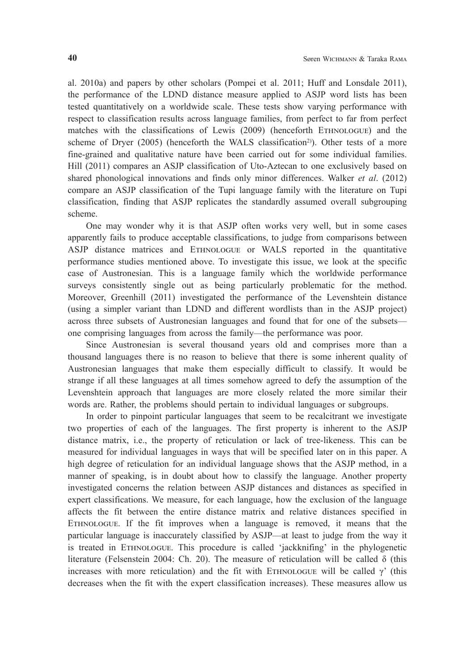al. 2010a) and papers by other scholars (Pompei et al. 2011; Huff and Lonsdale 2011), the performance of the LDND distance measure applied to ASJP word lists has been tested quantitatively on a worldwide scale. These tests show varying performance with respect to classification results across language families, from perfect to far from perfect matches with the classifications of Lewis (2009) (henceforth EThnOLOGUE) and the scheme of Dryer (2005) (henceforth the WALS classification<sup>2)</sup>). Other tests of a more fine-grained and qualitative nature have been carried out for some individual families. Hill (2011) compares an ASJP classification of Uto-Aztecan to one exclusively based on shared phonological innovations and finds only minor differences. Walker *et al*. (2012) compare an ASJP classification of the Tupi language family with the literature on Tupi classification, finding that ASJP replicates the standardly assumed overall subgrouping scheme.

One may wonder why it is that ASJP often works very well, but in some cases apparently fails to produce acceptable classifications, to judge from comparisons between ASJP distance matrices and EThnOLOGUE or WALS reported in the quantitative performance studies mentioned above. To investigate this issue, we look at the specific case of Austronesian. This is a language family which the worldwide performance surveys consistently single out as being particularly problematic for the method. Moreover, Greenhill (2011) investigated the performance of the Levenshtein distance (using a simpler variant than LDND and different wordlists than in the ASJP project) across three subsets of Austronesian languages and found that for one of the subsets one comprising languages from across the family—the performance was poor.

Since Austronesian is several thousand years old and comprises more than a thousand languages there is no reason to believe that there is some inherent quality of Austronesian languages that make them especially difficult to classify. It would be strange if all these languages at all times somehow agreed to defy the assumption of the Levenshtein approach that languages are more closely related the more similar their words are. Rather, the problems should pertain to individual languages or subgroups.

In order to pinpoint particular languages that seem to be recalcitrant we investigate two properties of each of the languages. The first property is inherent to the ASJP distance matrix, i.e., the property of reticulation or lack of tree-likeness. This can be measured for individual languages in ways that will be specified later on in this paper. A high degree of reticulation for an individual language shows that the ASJP method, in a manner of speaking, is in doubt about how to classify the language. Another property investigated concerns the relation between ASJP distances and distances as specified in expert classifications. We measure, for each language, how the exclusion of the language affects the fit between the entire distance matrix and relative distances specified in EThnOLOGUE. If the fit improves when a language is removed, it means that the particular language is inaccurately classified by ASJP—at least to judge from the way it is treated in EThnOLOGUE. This procedure is called 'jackknifing' in the phylogenetic literature (Felsenstein 2004: Ch. 20). The measure of reticulation will be called δ (this increases with more reticulation) and the fit with ETHNOLOGUE will be called  $\gamma$ ' (this decreases when the fit with the expert classification increases). These measures allow us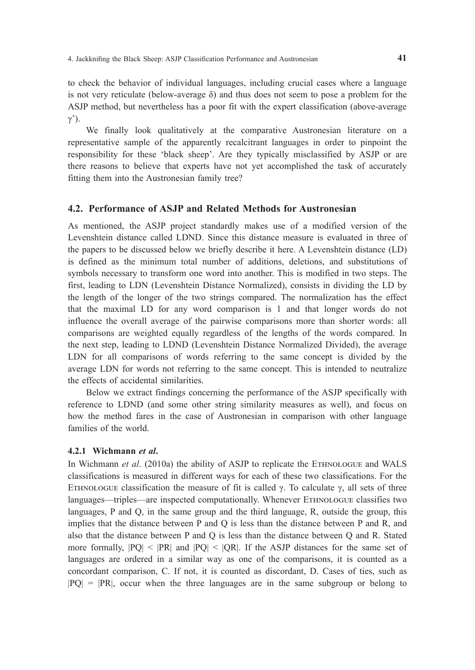to check the behavior of individual languages, including crucial cases where a language is not very reticulate (below-average  $\delta$ ) and thus does not seem to pose a problem for the ASJP method, but nevertheless has a poor fit with the expert classification (above-average  $γ$ <sup>'</sup>).

We finally look qualitatively at the comparative Austronesian literature on a representative sample of the apparently recalcitrant languages in order to pinpoint the responsibility for these 'black sheep'. Are they typically misclassified by ASJP or are there reasons to believe that experts have not yet accomplished the task of accurately fitting them into the Austronesian family tree?

#### **4.2. Performance of ASJP and Related Methods for Austronesian**

As mentioned, the ASJP project standardly makes use of a modified version of the Levenshtein distance called LDND. Since this distance measure is evaluated in three of the papers to be discussed below we briefly describe it here. A Levenshtein distance (LD) is defined as the minimum total number of additions, deletions, and substitutions of symbols necessary to transform one word into another. This is modified in two steps. The first, leading to LDN (Levenshtein Distance Normalized), consists in dividing the LD by the length of the longer of the two strings compared. The normalization has the effect that the maximal LD for any word comparison is 1 and that longer words do not influence the overall average of the pairwise comparisons more than shorter words: all comparisons are weighted equally regardless of the lengths of the words compared. In the next step, leading to LDND (Levenshtein Distance Normalized Divided), the average LDN for all comparisons of words referring to the same concept is divided by the average LDN for words not referring to the same concept. This is intended to neutralize the effects of accidental similarities.

Below we extract findings concerning the performance of the ASJP specifically with reference to LDND (and some other string similarity measures as well), and focus on how the method fares in the case of Austronesian in comparison with other language families of the world.

#### **4.2.1 Wichmann** *et al***.**

In Wichmann *et al.* (2010a) the ability of ASJP to replicate the ETHNOLOGUE and WALS classifications is measured in different ways for each of these two classifications. For the ETHNOLOGUE classification the measure of fit is called γ. To calculate γ, all sets of three languages—triples—are inspected computationally. Whenever ETHNOLOGUE classifies two languages, P and Q, in the same group and the third language, R, outside the group, this implies that the distance between P and Q is less than the distance between P and R, and also that the distance between P and Q is less than the distance between Q and R. Stated more formally,  $|PQ| \le |PR|$  and  $|PQ| \le |QR|$ . If the ASJP distances for the same set of languages are ordered in a similar way as one of the comparisons, it is counted as a concordant comparison, C. If not, it is counted as discordant, D. Cases of ties, such as  $|PQ| = |PR|$ , occur when the three languages are in the same subgroup or belong to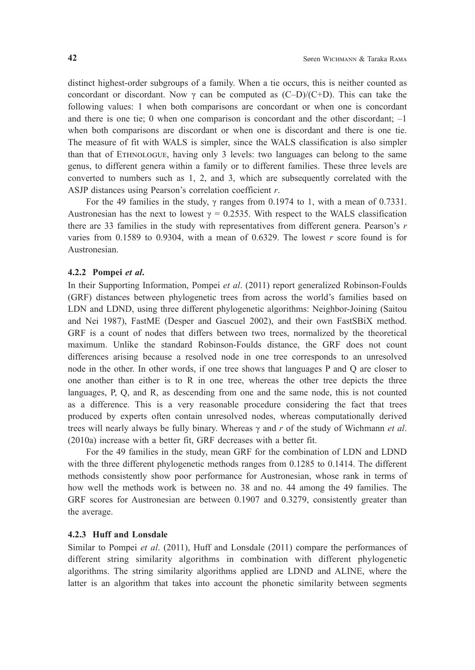distinct highest-order subgroups of a family. When a tie occurs, this is neither counted as concordant or discordant. Now  $\gamma$  can be computed as (C–D)/(C+D). This can take the following values: 1 when both comparisons are concordant or when one is concordant and there is one tie; 0 when one comparison is concordant and the other discordant;  $-1$ when both comparisons are discordant or when one is discordant and there is one tie. The measure of fit with WALS is simpler, since the WALS classification is also simpler than that of EThnOLOGUE, having only 3 levels: two languages can belong to the same genus, to different genera within a family or to different families. These three levels are converted to numbers such as 1, 2, and 3, which are subsequently correlated with the ASJP distances using Pearson's correlation coefficient *r*.

 For the 49 families in the study, γ ranges from 0.1974 to 1, with a mean of 0.7331. Austronesian has the next to lowest  $\gamma = 0.2535$ . With respect to the WALS classification there are 33 families in the study with representatives from different genera. Pearson's *r* varies from 0.1589 to 0.9304, with a mean of 0.6329. The lowest *r* score found is for Austronesian.

#### **4.2.2 Pompei** *et al***.**

In their Supporting Information, Pompei *et al*. (2011) report generalized Robinson-Foulds (GRF) distances between phylogenetic trees from across the world's families based on LDN and LDND, using three different phylogenetic algorithms: Neighbor-Joining (Saitou and Nei 1987), FastME (Desper and Gascuel 2002), and their own FastSBiX method. GRF is a count of nodes that differs between two trees, normalized by the theoretical maximum. Unlike the standard Robinson-Foulds distance, the GRF does not count differences arising because a resolved node in one tree corresponds to an unresolved node in the other. In other words, if one tree shows that languages P and Q are closer to one another than either is to R in one tree, whereas the other tree depicts the three languages, P, Q, and R, as descending from one and the same node, this is not counted as a difference. This is a very reasonable procedure considering the fact that trees produced by experts often contain unresolved nodes, whereas computationally derived trees will nearly always be fully binary. Whereas γ and *r* of the study of Wichmann *et al*. (2010a) increase with a better fit, GRF decreases with a better fit.

For the 49 families in the study, mean GRF for the combination of LDN and LDND with the three different phylogenetic methods ranges from 0.1285 to 0.1414. The different methods consistently show poor performance for Austronesian, whose rank in terms of how well the methods work is between no. 38 and no. 44 among the 49 families. The GRF scores for Austronesian are between 0.1907 and 0.3279, consistently greater than the average.

#### **4.2.3 Huff and Lonsdale**

Similar to Pompei *et al*. (2011), Huff and Lonsdale (2011) compare the performances of different string similarity algorithms in combination with different phylogenetic algorithms. The string similarity algorithms applied are LDND and ALINE, where the latter is an algorithm that takes into account the phonetic similarity between segments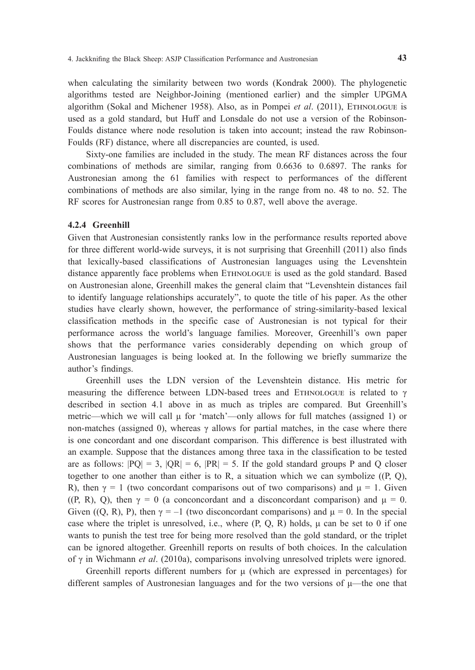when calculating the similarity between two words (Kondrak 2000). The phylogenetic algorithms tested are Neighbor-Joining (mentioned earlier) and the simpler UPGMA algorithm (Sokal and Michener 1958). Also, as in Pompei *et al*. (2011), EThnOLOGUE is used as a gold standard, but Huff and Lonsdale do not use a version of the Robinson-Foulds distance where node resolution is taken into account; instead the raw Robinson-Foulds (RF) distance, where all discrepancies are counted, is used.

Sixty-one families are included in the study. The mean RF distances across the four combinations of methods are similar, ranging from 0.6636 to 0.6897. The ranks for Austronesian among the 61 families with respect to performances of the different combinations of methods are also similar, lying in the range from no. 48 to no. 52. The RF scores for Austronesian range from 0.85 to 0.87, well above the average.

#### **4.2.4 Greenhill**

Given that Austronesian consistently ranks low in the performance results reported above for three different world-wide surveys, it is not surprising that Greenhill (2011) also finds that lexically-based classifications of Austronesian languages using the Levenshtein distance apparently face problems when EThnOLOGUE is used as the gold standard. Based on Austronesian alone, Greenhill makes the general claim that "Levenshtein distances fail to identify language relationships accurately", to quote the title of his paper. As the other studies have clearly shown, however, the performance of string-similarity-based lexical classification methods in the specific case of Austronesian is not typical for their performance across the world's language families. Moreover, Greenhill's own paper shows that the performance varies considerably depending on which group of Austronesian languages is being looked at. In the following we briefly summarize the author's findings.

Greenhill uses the LDN version of the Levenshtein distance. His metric for measuring the difference between LDN-based trees and ETHNOLOGUE is related to  $\gamma$ described in section 4.1 above in as much as triples are compared. But Greenhill's metric—which we will call μ for 'match'—only allows for full matches (assigned 1) or non-matches (assigned 0), whereas γ allows for partial matches, in the case where there is one concordant and one discordant comparison. This difference is best illustrated with an example. Suppose that the distances among three taxa in the classification to be tested are as follows:  $|PQ| = 3$ ,  $|QR| = 6$ ,  $|PR| = 5$ . If the gold standard groups P and Q closer together to one another than either is to R, a situation which we can symbolize  $((P, Q),$ R), then  $\gamma = 1$  (two concordant comparisons out of two comparisons) and  $\mu = 1$ . Given ((P, R), Q), then  $\gamma = 0$  (a conconcordant and a disconcordant comparison) and  $\mu = 0$ . Given ((Q, R), P), then  $\gamma = -1$  (two disconcordant comparisons) and  $\mu = 0$ . In the special case where the triplet is unresolved, i.e., where  $(P, Q, R)$  holds,  $\mu$  can be set to 0 if one wants to punish the test tree for being more resolved than the gold standard, or the triplet can be ignored altogether. Greenhill reports on results of both choices. In the calculation of γ in Wichmann *et al*. (2010a), comparisons involving unresolved triplets were ignored.

Greenhill reports different numbers for  $\mu$  (which are expressed in percentages) for different samples of Austronesian languages and for the two versions of  $\mu$ —the one that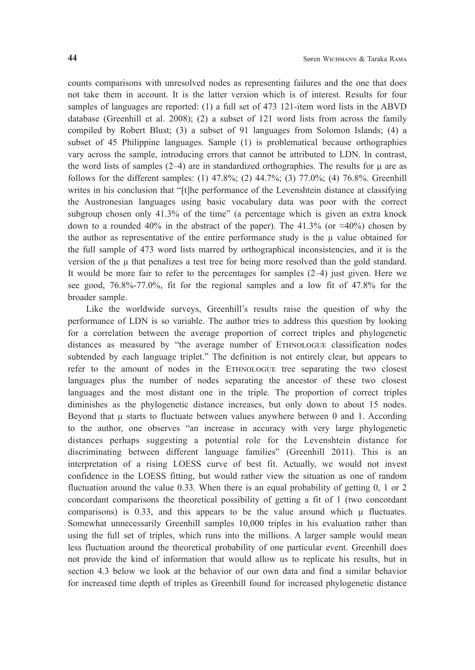counts comparisons with unresolved nodes as representing failures and the one that does not take them in account. It is the latter version which is of interest. Results for four samples of languages are reported: (1) a full set of 473 121-item word lists in the ABVD database (Greenhill et al. 2008); (2) a subset of 121 word lists from across the family compiled by Robert Blust; (3) a subset of 91 languages from Solomon Islands; (4) a subset of 45 Philippine languages. Sample (1) is problematical because orthographies vary across the sample, introducing errors that cannot be attributed to LDN. In contrast, the word lists of samples  $(2-4)$  are in standardized orthographies. The results for  $\mu$  are as follows for the different samples: (1) 47.8%; (2) 44.7%; (3) 77.0%; (4) 76.8%. Greenhill writes in his conclusion that "[t]he performance of the Levenshtein distance at classifying the Austronesian languages using basic vocabulary data was poor with the correct subgroup chosen only 41.3% of the time" (a percentage which is given an extra knock down to a rounded 40% in the abstract of the paper). The 41.3% (or  $\approx$ 40%) chosen by the author as representative of the entire performance study is the μ value obtained for the full sample of 473 word lists marred by orthographical inconsistencies, and it is the version of the μ that penalizes a test tree for being more resolved than the gold standard. It would be more fair to refer to the percentages for samples (2–4) just given. Here we see good, 76.8%-77.0%, fit for the regional samples and a low fit of 47.8% for the broader sample.

Like the worldwide surveys, Greenhill's results raise the question of why the performance of LDN is so variable. The author tries to address this question by looking for a correlation between the average proportion of correct triples and phylogenetic distances as measured by "the average number of EThnOLOGUE classification nodes subtended by each language triplet." The definition is not entirely clear, but appears to refer to the amount of nodes in the EThnOLOGUE tree separating the two closest languages plus the number of nodes separating the ancestor of these two closest languages and the most distant one in the triple. The proportion of correct triples diminishes as the phylogenetic distance increases, but only down to about 15 nodes. Beyond that μ starts to fluctuate between values anywhere between 0 and 1. According to the author, one observes "an increase in accuracy with very large phylogenetic distances perhaps suggesting a potential role for the Levenshtein distance for discriminating between different language families" (Greenhill 2011). This is an interpretation of a rising LOESS curve of best fit. Actually, we would not invest confidence in the LOESS fitting, but would rather view the situation as one of random fluctuation around the value 0.33. When there is an equal probability of getting 0, 1 or 2 concordant comparisons the theoretical possibility of getting a fit of 1 (two concordant comparisons) is  $0.33$ , and this appears to be the value around which  $\mu$  fluctuates. Somewhat unnecessarily Greenhill samples 10,000 triples in his evaluation rather than using the full set of triples, which runs into the millions. A larger sample would mean less fluctuation around the theoretical probability of one particular event. Greenhill does not provide the kind of information that would allow us to replicate his results, but in section 4.3 below we look at the behavior of our own data and find a similar behavior for increased time depth of triples as Greenhill found for increased phylogenetic distance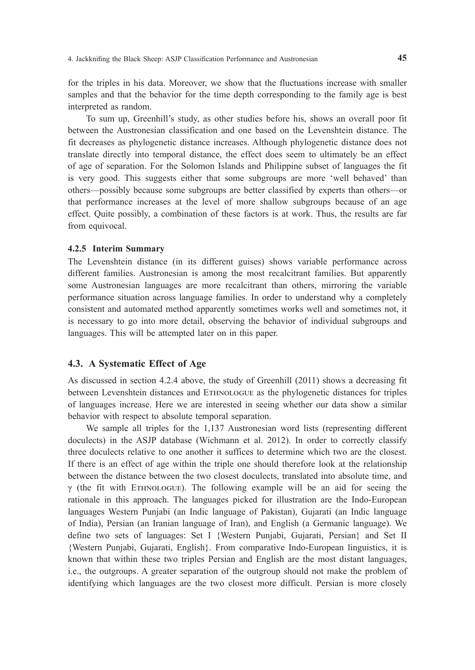for the triples in his data. Moreover, we show that the fluctuations increase with smaller samples and that the behavior for the time depth corresponding to the family age is best interpreted as random.

To sum up, Greenhill's study, as other studies before his, shows an overall poor fit between the Austronesian classification and one based on the Levenshtein distance. The fit decreases as phylogenetic distance increases. Although phylogenetic distance does not translate directly into temporal distance, the effect does seem to ultimately be an effect of age of separation. For the Solomon Islands and Philippine subset of languages the fit is very good. This suggests either that some subgroups are more 'well behaved' than others—possibly because some subgroups are better classified by experts than others—or that performance increases at the level of more shallow subgroups because of an age effect. Quite possibly, a combination of these factors is at work. Thus, the results are far from equivocal.

#### **4.2.5 Interim Summary**

The Levenshtein distance (in its different guises) shows variable performance across different families. Austronesian is among the most recalcitrant families. But apparently some Austronesian languages are more recalcitrant than others, mirroring the variable performance situation across language families. In order to understand why a completely consistent and automated method apparently sometimes works well and sometimes not, it is necessary to go into more detail, observing the behavior of individual subgroups and languages. This will be attempted later on in this paper.

#### **4.3. A Systematic Effect of Age**

As discussed in section 4.2.4 above, the study of Greenhill (2011) shows a decreasing fit between Levenshtein distances and EThnOLOGUE as the phylogenetic distances for triples of languages increase. Here we are interested in seeing whether our data show a similar behavior with respect to absolute temporal separation.

We sample all triples for the 1,137 Austronesian word lists (representing different doculects) in the ASJP database (Wichmann et al. 2012). In order to correctly classify three doculects relative to one another it suffices to determine which two are the closest. If there is an effect of age within the triple one should therefore look at the relationship between the distance between the two closest doculects, translated into absolute time, and  $γ$  (the fit with ETHNOLOGUE). The following example will be an aid for seeing the rationale in this approach. The languages picked for illustration are the Indo-European languages Western Punjabi (an Indic language of Pakistan), Gujarati (an Indic language of India), Persian (an Iranian language of Iran), and English (a Germanic language). We define two sets of languages: Set I {Western Punjabi, Gujarati, Persian} and Set II {Western Punjabi, Gujarati, English}. From comparative Indo-European linguistics, it is known that within these two triples Persian and English are the most distant languages, i.e., the outgroups. A greater separation of the outgroup should not make the problem of identifying which languages are the two closest more difficult. Persian is more closely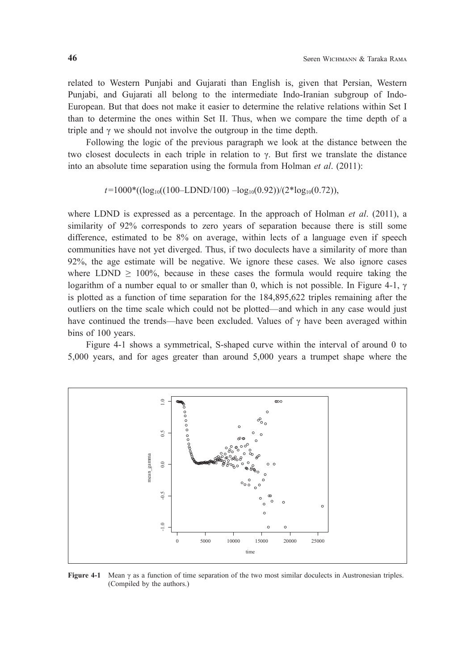related to Western Punjabi and Gujarati than English is, given that Persian, Western Punjabi, and Gujarati all belong to the intermediate Indo-Iranian subgroup of Indo-European. But that does not make it easier to determine the relative relations within Set I than to determine the ones within Set II. Thus, when we compare the time depth of a triple and  $\gamma$  we should not involve the outgroup in the time depth.

Following the logic of the previous paragraph we look at the distance between the two closest doculects in each triple in relation to γ. But first we translate the distance into an absolute time separation using the formula from Holman *et al*. (2011):

 $t=1000*(\log_{10}((100-LDND/100)-\log_{10}(0.92))/(2*\log_{10}(0.72)),$ 

where LDND is expressed as a percentage. In the approach of Holman *et al*. (2011), a similarity of 92% corresponds to zero years of separation because there is still some difference, estimated to be 8% on average, within lects of a language even if speech communities have not yet diverged. Thus, if two doculects have a similarity of more than 92%, the age estimate will be negative. We ignore these cases. We also ignore cases where LDND  $\geq$  100%, because in these cases the formula would require taking the logarithm of a number equal to or smaller than 0, which is not possible. In Figure 4-1,  $\gamma$ is plotted as a function of time separation for the 184,895,622 triples remaining after the outliers on the time scale which could not be plotted—and which in any case would just have continued the trends—have been excluded. Values of  $\gamma$  have been averaged within bins of 100 years.

Figure 4-1 shows a symmetrical, S-shaped curve within the interval of around 0 to 5,000 years, and for ages greater than around 5,000 years a trumpet shape where the



**Figure 4-1** Mean γ as a function of time separation of the two most similar doculects in Austronesian triples.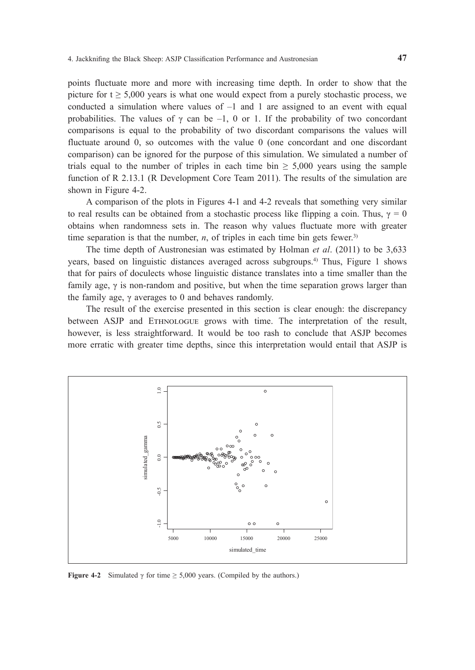points fluctuate more and more with increasing time depth. In order to show that the picture for  $t \geq 5,000$  years is what one would expect from a purely stochastic process, we conducted a simulation where values of –1 and 1 are assigned to an event with equal probabilities. The values of  $\gamma$  can be –1, 0 or 1. If the probability of two concordant comparisons is equal to the probability of two discordant comparisons the values will fluctuate around 0, so outcomes with the value 0 (one concordant and one discordant comparison) can be ignored for the purpose of this simulation. We simulated a number of trials equal to the number of triples in each time bin  $\geq$  5,000 years using the sample function of R 2.13.1 (R Development Core Team 2011). The results of the simulation are shown in Figure 4-2.

A comparison of the plots in Figures 4-1 and 4-2 reveals that something very similar to real results can be obtained from a stochastic process like flipping a coin. Thus,  $\gamma = 0$ obtains when randomness sets in. The reason why values fluctuate more with greater time separation is that the number,  $n$ , of triples in each time bin gets fewer.<sup>3)</sup>

The time depth of Austronesian was estimated by Holman *et al*. (2011) to be 3,633 years, based on linguistic distances averaged across subgroups.4) Thus, Figure 1 shows that for pairs of doculects whose linguistic distance translates into a time smaller than the family age, γ is non-random and positive, but when the time separation grows larger than the family age,  $\gamma$  averages to 0 and behaves randomly.

The result of the exercise presented in this section is clear enough: the discrepancy between ASJP and EThnOLOGUE grows with time. The interpretation of the result, however, is less straightforward. It would be too rash to conclude that ASJP becomes more erratic with greater time depths, since this interpretation would entail that ASJP is

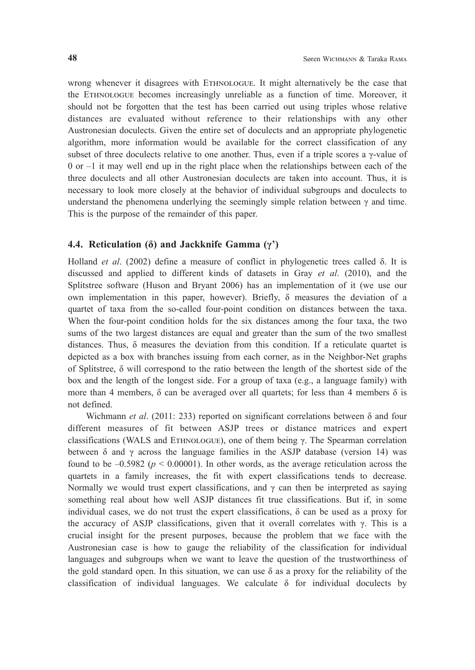wrong whenever it disagrees with EThnOLOGUE. It might alternatively be the case that the EThnOLOGUE becomes increasingly unreliable as a function of time. Moreover, it should not be forgotten that the test has been carried out using triples whose relative distances are evaluated without reference to their relationships with any other Austronesian doculects. Given the entire set of doculects and an appropriate phylogenetic algorithm, more information would be available for the correct classification of any subset of three doculects relative to one another. Thus, even if a triple scores a  $\gamma$ -value of 0 or –1 it may well end up in the right place when the relationships between each of the three doculects and all other Austronesian doculects are taken into account. Thus, it is necessary to look more closely at the behavior of individual subgroups and doculects to understand the phenomena underlying the seemingly simple relation between  $\gamma$  and time. This is the purpose of the remainder of this paper.

#### **4.4. Reticulation (δ) and Jackknife Gamma (γ')**

Holland *et al*. (2002) define a measure of conflict in phylogenetic trees called δ. It is discussed and applied to different kinds of datasets in Gray *et al*. (2010), and the Splitstree software (Huson and Bryant 2006) has an implementation of it (we use our own implementation in this paper, however). Briefly,  $\delta$  measures the deviation of a quartet of taxa from the so-called four-point condition on distances between the taxa. When the four-point condition holds for the six distances among the four taxa, the two sums of the two largest distances are equal and greater than the sum of the two smallest distances. Thus, δ measures the deviation from this condition. If a reticulate quartet is depicted as a box with branches issuing from each corner, as in the Neighbor-Net graphs of Splitstree, δ will correspond to the ratio between the length of the shortest side of the box and the length of the longest side. For a group of taxa (e.g., a language family) with more than 4 members,  $\delta$  can be averaged over all quartets; for less than 4 members  $\delta$  is not defined.

 Wichmann *et al*. (2011: 233) reported on significant correlations between δ and four different measures of fit between ASJP trees or distance matrices and expert classifications (WALS and EThnOLOGUE), one of them being γ. The Spearman correlation between  $\delta$  and  $\gamma$  across the language families in the ASJP database (version 14) was found to be  $-0.5982$  ( $p < 0.00001$ ). In other words, as the average reticulation across the quartets in a family increases, the fit with expert classifications tends to decrease. Normally we would trust expert classifications, and  $\gamma$  can then be interpreted as saying something real about how well ASJP distances fit true classifications. But if, in some individual cases, we do not trust the expert classifications,  $\delta$  can be used as a proxy for the accuracy of ASJP classifications, given that it overall correlates with  $\gamma$ . This is a crucial insight for the present purposes, because the problem that we face with the Austronesian case is how to gauge the reliability of the classification for individual languages and subgroups when we want to leave the question of the trustworthiness of the gold standard open. In this situation, we can use  $\delta$  as a proxy for the reliability of the classification of individual languages. We calculate  $\delta$  for individual doculects by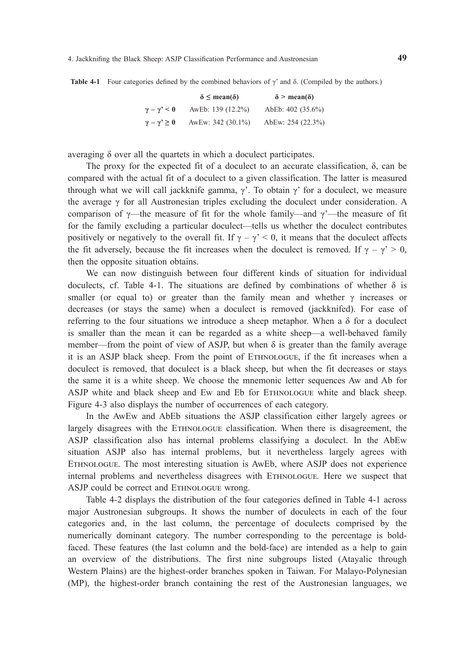**Table 4-1** Four categories defined by the combined behaviors of γ' and δ. (Compiled by the authors.)

|                           | $\delta \leq \text{mean}(\delta)$ | $\delta$ > mean( $\delta$ ) |  |  |  |
|---------------------------|-----------------------------------|-----------------------------|--|--|--|
| $\gamma - \gamma' \leq 0$ | AwEb: 139 (12.2%)                 | AbEb: 402 (35.6%)           |  |  |  |
| $\gamma - \gamma' \geq 0$ | AwEw: 342 (30.1%)                 | AbEw: 254 (22.3%)           |  |  |  |

averaging δ over all the quartets in which a doculect participates.

The proxy for the expected fit of a doculect to an accurate classification,  $\delta$ , can be compared with the actual fit of a doculect to a given classification. The latter is measured through what we will call jackknife gamma,  $\gamma$ . To obtain  $\gamma$  for a doculect, we measure the average  $\gamma$  for all Austronesian triples excluding the doculect under consideration. A comparison of  $\gamma$ —the measure of fit for the whole family—and  $\gamma$ —the measure of fit for the family excluding a particular doculect—tells us whether the doculect contributes positively or negatively to the overall fit. If  $\gamma - \gamma' < 0$ , it means that the doculect affects the fit adversely, because the fit increases when the doculect is removed. If  $\gamma - \gamma' > 0$ , then the opposite situation obtains.

We can now distinguish between four different kinds of situation for individual doculects, cf. Table 4-1. The situations are defined by combinations of whether  $\delta$  is smaller (or equal to) or greater than the family mean and whether  $\gamma$  increases or decreases (or stays the same) when a doculect is removed (jackknifed). For ease of referring to the four situations we introduce a sheep metaphor. When a  $\delta$  for a doculect is smaller than the mean it can be regarded as a white sheep—a well-behaved family member—from the point of view of ASJP, but when  $\delta$  is greater than the family average it is an ASJP black sheep. From the point of EThnOLOGUE, if the fit increases when a doculect is removed, that doculect is a black sheep, but when the fit decreases or stays the same it is a white sheep. We choose the mnemonic letter sequences Aw and Ab for ASJP white and black sheep and Ew and Eb for EThnOLOGUE white and black sheep. Figure 4-3 also displays the number of occurrences of each category.

In the AwEw and AbEb situations the ASJP classification either largely agrees or largely disagrees with the EThnOLOGUE classification. When there is disagreement, the ASJP classification also has internal problems classifying a doculect. In the AbEw situation ASJP also has internal problems, but it nevertheless largely agrees with EThnOLOGUE. The most interesting situation is AwEb, where ASJP does not experience internal problems and nevertheless disagrees with EThnOLOGUE. Here we suspect that ASJP could be correct and ETHNOLOGUE wrong.

Table 4-2 displays the distribution of the four categories defined in Table 4-1 across major Austronesian subgroups. It shows the number of doculects in each of the four categories and, in the last column, the percentage of doculects comprised by the numerically dominant category. The number corresponding to the percentage is boldfaced. These features (the last column and the bold-face) are intended as a help to gain an overview of the distributions. The first nine subgroups listed (Atayalic through Western Plains) are the highest-order branches spoken in Taiwan. For Malayo-Polynesian (MP), the highest-order branch containing the rest of the Austronesian languages, we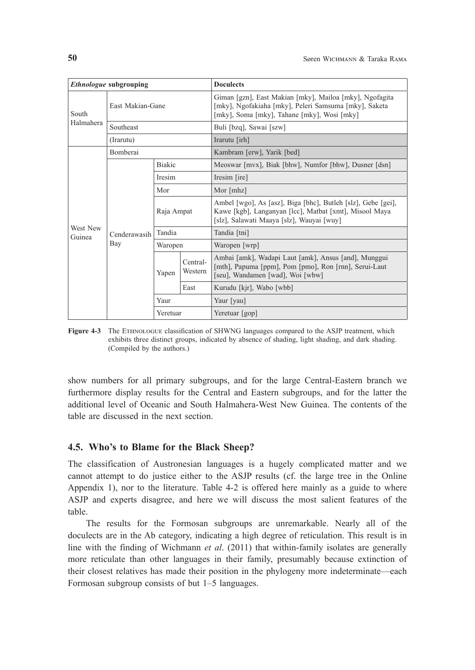| Ethnologue subgrouping |                     |               | <b>Doculects</b>    |                                                                                                                                                                     |  |  |
|------------------------|---------------------|---------------|---------------------|---------------------------------------------------------------------------------------------------------------------------------------------------------------------|--|--|
| South<br>Halmahera     | East Makian-Gane    |               |                     | Giman [gzn], East Makian [mky], Mailoa [mky], Ngofagita<br>[mky], Ngofakiaha [mky], Peleri Samsuma [mky], Saketa<br>[mky], Soma [mky], Tahane [mky], Wosi [mky]     |  |  |
|                        | Southeast           |               |                     | Buli [bzq], Sawai [szw]                                                                                                                                             |  |  |
|                        | (Irarutu)           |               |                     | Irarutu [irh]                                                                                                                                                       |  |  |
| West New<br>Guinea     | <b>Bomberai</b>     |               |                     | Kambram [erw], Yarik [bed]                                                                                                                                          |  |  |
|                        | Cenderawasih<br>Bay | <b>Biakic</b> |                     | Meoswar [mvx], Biak [bhw], Numfor [bhw], Dusner [dsn]                                                                                                               |  |  |
|                        |                     | Iresim        |                     | Iresim [ire]                                                                                                                                                        |  |  |
|                        |                     | Mor           |                     | Mor [mhz]                                                                                                                                                           |  |  |
|                        |                     | Raja Ampat    |                     | Ambel [wgo], As [asz], Biga [bhc], Butleh [slz], Gebe [gei],<br>Kawe [kgb], Langanyan [lcc], Matbat [xmt], Misool Maya<br>[slz], Salawati Maaya [slz], Wauyai [wuy] |  |  |
|                        |                     | Tandia        |                     | Tandia [tni]                                                                                                                                                        |  |  |
|                        |                     | Waropen       |                     | Waropen [wrp]                                                                                                                                                       |  |  |
|                        |                     | Yapen         | Central-<br>Western | Ambai [amk], Wadapi Laut [amk], Ansus [and], Munggui<br>[mth], Papuma [ppm], Pom [pmo], Ron [rnn], Serui-Laut<br>[seu], Wandamen [wad], Woi [wbw]                   |  |  |
|                        |                     |               | East                | Kurudu [kjr], Wabo [wbb]                                                                                                                                            |  |  |
|                        |                     | Yaur          |                     | Yaur [yau]                                                                                                                                                          |  |  |
|                        |                     | Yeretuar      |                     | Yeretuar [gop]                                                                                                                                                      |  |  |

**Figure 4-3** The EThnOLOGUE classification of SHWNG languages compared to the ASJP treatment, which exhibits three distinct groups, indicated by absence of shading, light shading, and dark shading. (Compiled by the authors.)

show numbers for all primary subgroups, and for the large Central-Eastern branch we furthermore display results for the Central and Eastern subgroups, and for the latter the additional level of Oceanic and South Halmahera-West New Guinea. The contents of the table are discussed in the next section.

#### **4.5. Who's to Blame for the Black Sheep?**

The classification of Austronesian languages is a hugely complicated matter and we cannot attempt to do justice either to the ASJP results (cf. the large tree in the Online Appendix 1), nor to the literature. Table 4-2 is offered here mainly as a guide to where ASJP and experts disagree, and here we will discuss the most salient features of the table.

The results for the Formosan subgroups are unremarkable. Nearly all of the doculects are in the Ab category, indicating a high degree of reticulation. This result is in line with the finding of Wichmann *et al*. (2011) that within-family isolates are generally more reticulate than other languages in their family, presumably because extinction of their closest relatives has made their position in the phylogeny more indeterminate—each Formosan subgroup consists of but 1–5 languages.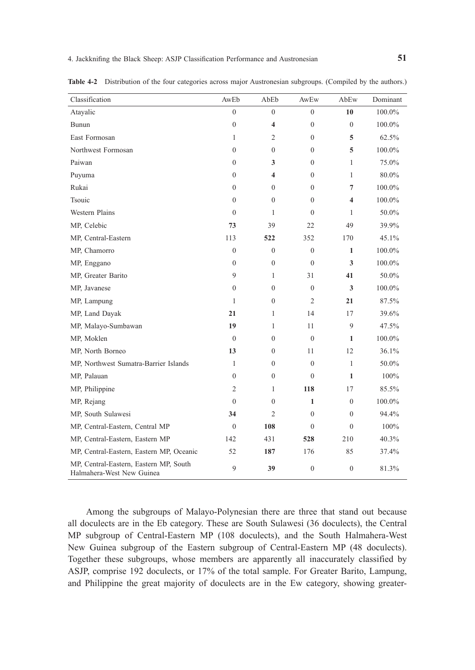| Classification                                                      | AwEb             | AbEb                    | AwEw             | AbEw             | Dominant |
|---------------------------------------------------------------------|------------------|-------------------------|------------------|------------------|----------|
| Atayalic                                                            | $\mathbf{0}$     | $\overline{0}$          | $\overline{0}$   | 10               | 100.0%   |
| Bunun                                                               | $\boldsymbol{0}$ | 4                       | $\boldsymbol{0}$ | $\mathbf{0}$     | 100.0%   |
| East Formosan                                                       | 1                | $\overline{2}$          | $\mathbf{0}$     | 5                | 62.5%    |
| Northwest Formosan                                                  | $\theta$         | $\theta$                | $\overline{0}$   | 5                | 100.0%   |
| Paiwan                                                              | $\mathbf{0}$     | 3                       | $\mathbf{0}$     | 1                | 75.0%    |
| Puyuma                                                              | $\mathbf{0}$     | $\overline{\mathbf{4}}$ | $\mathbf{0}$     | 1                | 80.0%    |
| Rukai                                                               | $\theta$         | $\mathbf{0}$            | $\overline{0}$   | 7                | 100.0%   |
| Tsouic                                                              | $\mathbf{0}$     | $\mathbf{0}$            | $\mathbf{0}$     | 4                | 100.0%   |
| <b>Western Plains</b>                                               | $\mathbf{0}$     | $\mathbf{1}$            | $\theta$         | 1                | 50.0%    |
| MP, Celebic                                                         | 73               | 39                      | 22               | 49               | 39.9%    |
| MP, Central-Eastern                                                 | 113              | 522                     | 352              | 170              | 45.1%    |
| MP, Chamorro                                                        | $\overline{0}$   | $\mathbf{0}$            | $\mathbf{0}$     | $\mathbf{1}$     | 100.0%   |
| MP, Enggano                                                         | $\mathbf{0}$     | $\overline{0}$          | $\mathbf{0}$     | 3                | 100.0%   |
| MP, Greater Barito                                                  | 9                | $\mathbf{1}$            | 31               | 41               | 50.0%    |
| MP, Javanese                                                        | $\boldsymbol{0}$ | $\mathbf{0}$            | $\boldsymbol{0}$ | 3                | 100.0%   |
| MP, Lampung                                                         | 1                | $\mathbf{0}$            | $\mathfrak{2}$   | 21               | 87.5%    |
| MP, Land Dayak                                                      | 21               | $\mathbf{1}$            | 14               | 17               | 39.6%    |
| MP, Malayo-Sumbawan                                                 | 19               | 1                       | 11               | 9                | 47.5%    |
| MP, Moklen                                                          | $\mathbf{0}$     | $\overline{0}$          | $\boldsymbol{0}$ | 1                | 100.0%   |
| MP, North Borneo                                                    | 13               | $\overline{0}$          | 11               | 12               | 36.1%    |
| MP, Northwest Sumatra-Barrier Islands                               | 1                | $\Omega$                | $\theta$         | $\mathbf{1}$     | 50.0%    |
| MP, Palauan                                                         | $\theta$         | $\mathbf{0}$            | $\mathbf{0}$     | 1                | 100%     |
| MP, Philippine                                                      | 2                | $\mathbf{1}$            | 118              | 17               | 85.5%    |
| MP, Rejang                                                          | $\mathbf{0}$     | $\mathbf{0}$            | $\mathbf{1}$     | $\mathbf{0}$     | 100.0%   |
| MP, South Sulawesi                                                  | 34               | $\overline{c}$          | $\mathbf{0}$     | $\mathbf{0}$     | 94.4%    |
| MP, Central-Eastern, Central MP                                     | $\mathbf{0}$     | 108                     | $\mathbf{0}$     | $\mathbf{0}$     | 100%     |
| MP, Central-Eastern, Eastern MP                                     | 142              | 431                     | 528              | 210              | 40.3%    |
| MP, Central-Eastern, Eastern MP, Oceanic                            | 52               | 187                     | 176              | 85               | 37.4%    |
| MP, Central-Eastern, Eastern MP, South<br>Halmahera-West New Guinea | 9                | 39                      | $\boldsymbol{0}$ | $\boldsymbol{0}$ | 81.3%    |

**Table 4-2** Distribution of the four categories across major Austronesian subgroups. (Compiled by the authors.)

Among the subgroups of Malayo-Polynesian there are three that stand out because all doculects are in the Eb category. These are South Sulawesi (36 doculects), the Central MP subgroup of Central-Eastern MP (108 doculects), and the South Halmahera-West New Guinea subgroup of the Eastern subgroup of Central-Eastern MP (48 doculects). Together these subgroups, whose members are apparently all inaccurately classified by ASJP, comprise 192 doculects, or 17% of the total sample. For Greater Barito, Lampung, and Philippine the great majority of doculects are in the Ew category, showing greater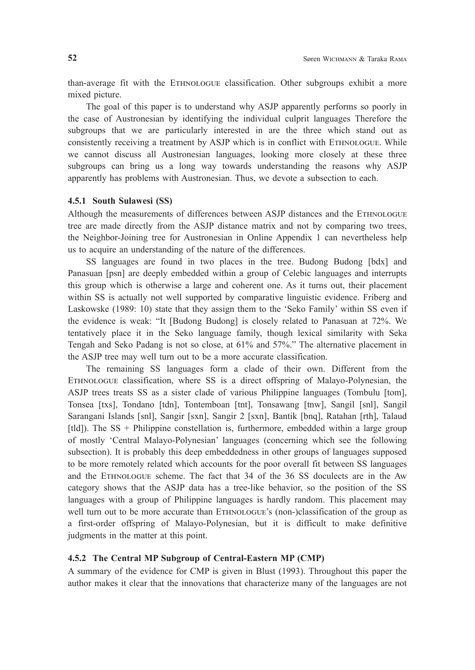than-average fit with the EThnOLOGUE classification. Other subgroups exhibit a more mixed picture.

The goal of this paper is to understand why ASJP apparently performs so poorly in the case of Austronesian by identifying the individual culprit languages Therefore the subgroups that we are particularly interested in are the three which stand out as consistently receiving a treatment by ASJP which is in conflict with EThnOLOGUE. While we cannot discuss all Austronesian languages, looking more closely at these three subgroups can bring us a long way towards understanding the reasons why ASJP apparently has problems with Austronesian. Thus, we devote a subsection to each.

#### **4.5.1 South Sulawesi (SS)**

Although the measurements of differences between ASJP distances and the EThnOLOGUE tree are made directly from the ASJP distance matrix and not by comparing two trees, the Neighbor-Joining tree for Austronesian in Online Appendix 1 can nevertheless help us to acquire an understanding of the nature of the differences.

SS languages are found in two places in the tree. Budong Budong [bdx] and Panasuan [psn] are deeply embedded within a group of Celebic languages and interrupts this group which is otherwise a large and coherent one. As it turns out, their placement within SS is actually not well supported by comparative linguistic evidence. Friberg and Laskowske (1989: 10) state that they assign them to the 'Seko Family' within SS even if the evidence is weak: "It [Budong Budong] is closely related to Panasuan at 72%. We tentatively place it in the Seko language family, though lexical similarity with Seka Tengah and Seko Padang is not so close, at 61% and 57%." The alternative placement in the ASJP tree may well turn out to be a more accurate classification.

The remaining SS languages form a clade of their own. Different from the EThnOLOGUE classification, where SS is a direct offspring of Malayo-Polynesian, the ASJP trees treats SS as a sister clade of various Philippine languages (Tombulu [tom], Tonsea [txs], Tondano [tdn], Tontemboan [tnt], Tonsawang [tnw], Sangil [snl], Sangil Sarangani Islands [snl], Sangir [sxn], Sangir 2 [sxn], Bantik [bnq], Ratahan [rth], Talaud  $[tld]$ ). The SS + Philippine constellation is, furthermore, embedded within a large group of mostly 'Central Malayo-Polynesian' languages (concerning which see the following subsection). It is probably this deep embeddedness in other groups of languages supposed to be more remotely related which accounts for the poor overall fit between SS languages and the EThnOLOGUE scheme. The fact that 34 of the 36 SS doculects are in the Aw category shows that the ASJP data has a tree-like behavior, so the position of the SS languages with a group of Philippine languages is hardly random. This placement may well turn out to be more accurate than ETHNOLOGUE's (non-)classification of the group as a first-order offspring of Malayo-Polynesian, but it is difficult to make definitive judgments in the matter at this point.

#### **4.5.2 The Central MP Subgroup of Central-Eastern MP (CMP)**

A summary of the evidence for CMP is given in Blust (1993). Throughout this paper the author makes it clear that the innovations that characterize many of the languages are not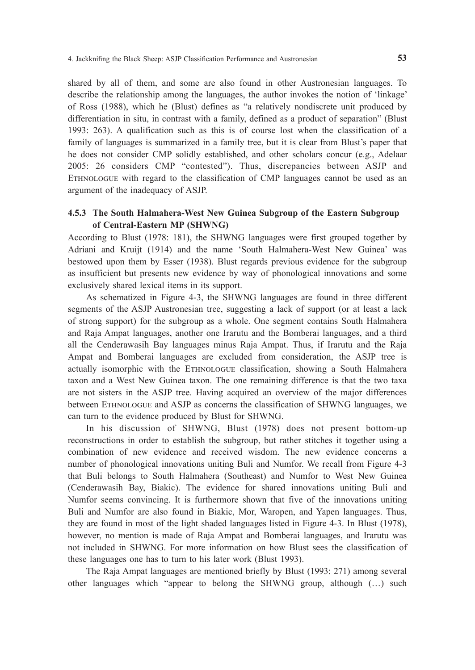shared by all of them, and some are also found in other Austronesian languages. To describe the relationship among the languages, the author invokes the notion of 'linkage' of Ross (1988), which he (Blust) defines as "a relatively nondiscrete unit produced by differentiation in situ, in contrast with a family, defined as a product of separation" (Blust 1993: 263). A qualification such as this is of course lost when the classification of a family of languages is summarized in a family tree, but it is clear from Blust's paper that he does not consider CMP solidly established, and other scholars concur (e.g., Adelaar 2005: 26 considers CMP "contested"). Thus, discrepancies between ASJP and EThnOLOGUE with regard to the classification of CMP languages cannot be used as an argument of the inadequacy of ASJP.

# **4.5.3 The South Halmahera-West New Guinea Subgroup of the Eastern Subgroup of Central-Eastern MP (SHWNG)**

According to Blust (1978: 181), the SHWNG languages were first grouped together by Adriani and Kruijt (1914) and the name 'South Halmahera-West New Guinea' was bestowed upon them by Esser (1938). Blust regards previous evidence for the subgroup as insufficient but presents new evidence by way of phonological innovations and some exclusively shared lexical items in its support.

As schematized in Figure 4-3, the SHWNG languages are found in three different segments of the ASJP Austronesian tree, suggesting a lack of support (or at least a lack of strong support) for the subgroup as a whole. One segment contains South Halmahera and Raja Ampat languages, another one Irarutu and the Bomberai languages, and a third all the Cenderawasih Bay languages minus Raja Ampat. Thus, if Irarutu and the Raja Ampat and Bomberai languages are excluded from consideration, the ASJP tree is actually isomorphic with the EThnOLOGUE classification, showing a South Halmahera taxon and a West New Guinea taxon. The one remaining difference is that the two taxa are not sisters in the ASJP tree. Having acquired an overview of the major differences between EThnOLOGUE and ASJP as concerns the classification of SHWNG languages, we can turn to the evidence produced by Blust for SHWNG.

In his discussion of SHWNG, Blust (1978) does not present bottom-up reconstructions in order to establish the subgroup, but rather stitches it together using a combination of new evidence and received wisdom. The new evidence concerns a number of phonological innovations uniting Buli and Numfor. We recall from Figure 4-3 that Buli belongs to South Halmahera (Southeast) and Numfor to West New Guinea (Cenderawasih Bay, Biakic). The evidence for shared innovations uniting Buli and Numfor seems convincing. It is furthermore shown that five of the innovations uniting Buli and Numfor are also found in Biakic, Mor, Waropen, and Yapen languages. Thus, they are found in most of the light shaded languages listed in Figure 4-3. In Blust (1978), however, no mention is made of Raja Ampat and Bomberai languages, and Irarutu was not included in SHWNG. For more information on how Blust sees the classification of these languages one has to turn to his later work (Blust 1993).

The Raja Ampat languages are mentioned briefly by Blust (1993: 271) among several other languages which "appear to belong the SHWNG group, although (…) such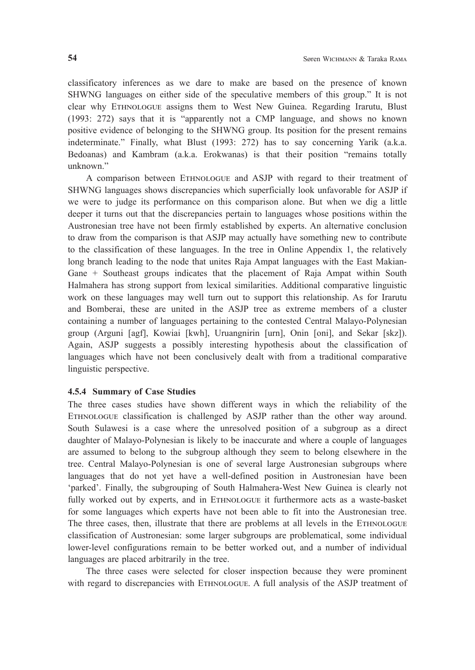classificatory inferences as we dare to make are based on the presence of known SHWNG languages on either side of the speculative members of this group." It is not clear why EThnOLOGUE assigns them to West New Guinea. Regarding Irarutu, Blust (1993: 272) says that it is "apparently not a CMP language, and shows no known positive evidence of belonging to the SHWNG group. Its position for the present remains indeterminate." Finally, what Blust (1993: 272) has to say concerning Yarik (a.k.a. Bedoanas) and Kambram (a.k.a. Erokwanas) is that their position "remains totally unknown."

A comparison between EThnOLOGUE and ASJP with regard to their treatment of SHWNG languages shows discrepancies which superficially look unfavorable for ASJP if we were to judge its performance on this comparison alone. But when we dig a little deeper it turns out that the discrepancies pertain to languages whose positions within the Austronesian tree have not been firmly established by experts. An alternative conclusion to draw from the comparison is that ASJP may actually have something new to contribute to the classification of these languages. In the tree in Online Appendix 1, the relatively long branch leading to the node that unites Raja Ampat languages with the East Makian-Gane + Southeast groups indicates that the placement of Raja Ampat within South Halmahera has strong support from lexical similarities. Additional comparative linguistic work on these languages may well turn out to support this relationship. As for Irarutu and Bomberai, these are united in the ASJP tree as extreme members of a cluster containing a number of languages pertaining to the contested Central Malayo-Polynesian group (Arguni [agf], Kowiai [kwh], Uruangnirin [urn], Onin [oni], and Sekar [skz]). Again, ASJP suggests a possibly interesting hypothesis about the classification of languages which have not been conclusively dealt with from a traditional comparative linguistic perspective.

#### **4.5.4 Summary of Case Studies**

The three cases studies have shown different ways in which the reliability of the EThnOLOGUE classification is challenged by ASJP rather than the other way around. South Sulawesi is a case where the unresolved position of a subgroup as a direct daughter of Malayo-Polynesian is likely to be inaccurate and where a couple of languages are assumed to belong to the subgroup although they seem to belong elsewhere in the tree. Central Malayo-Polynesian is one of several large Austronesian subgroups where languages that do not yet have a well-defined position in Austronesian have been 'parked'. Finally, the subgrouping of South Halmahera-West New Guinea is clearly not fully worked out by experts, and in ETHNOLOGUE it furthermore acts as a waste-basket for some languages which experts have not been able to fit into the Austronesian tree. The three cases, then, illustrate that there are problems at all levels in the EThnOLOGUE classification of Austronesian: some larger subgroups are problematical, some individual lower-level configurations remain to be better worked out, and a number of individual languages are placed arbitrarily in the tree.

The three cases were selected for closer inspection because they were prominent with regard to discrepancies with ETHNOLOGUE. A full analysis of the ASJP treatment of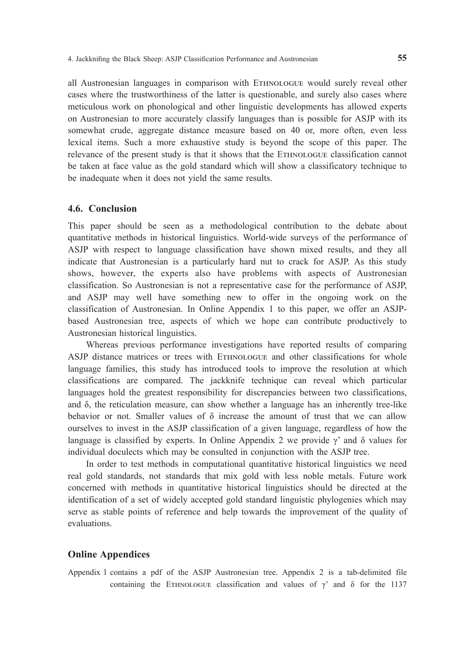all Austronesian languages in comparison with EThnOLOGUE would surely reveal other cases where the trustworthiness of the latter is questionable, and surely also cases where meticulous work on phonological and other linguistic developments has allowed experts on Austronesian to more accurately classify languages than is possible for ASJP with its somewhat crude, aggregate distance measure based on 40 or, more often, even less lexical items. Such a more exhaustive study is beyond the scope of this paper. The relevance of the present study is that it shows that the EThnOLOGUE classification cannot be taken at face value as the gold standard which will show a classificatory technique to be inadequate when it does not yield the same results.

#### **4.6. Conclusion**

This paper should be seen as a methodological contribution to the debate about quantitative methods in historical linguistics. World-wide surveys of the performance of ASJP with respect to language classification have shown mixed results, and they all indicate that Austronesian is a particularly hard nut to crack for ASJP. As this study shows, however, the experts also have problems with aspects of Austronesian classification. So Austronesian is not a representative case for the performance of ASJP, and ASJP may well have something new to offer in the ongoing work on the classification of Austronesian. In Online Appendix 1 to this paper, we offer an ASJPbased Austronesian tree, aspects of which we hope can contribute productively to Austronesian historical linguistics.

Whereas previous performance investigations have reported results of comparing ASJP distance matrices or trees with EThnOLOGUE and other classifications for whole language families, this study has introduced tools to improve the resolution at which classifications are compared. The jackknife technique can reveal which particular languages hold the greatest responsibility for discrepancies between two classifications, and δ, the reticulation measure, can show whether a language has an inherently tree-like behavior or not. Smaller values of  $\delta$  increase the amount of trust that we can allow ourselves to invest in the ASJP classification of a given language, regardless of how the language is classified by experts. In Online Appendix 2 we provide  $\gamma$  and  $\delta$  values for individual doculects which may be consulted in conjunction with the ASJP tree.

In order to test methods in computational quantitative historical linguistics we need real gold standards, not standards that mix gold with less noble metals. Future work concerned with methods in quantitative historical linguistics should be directed at the identification of a set of widely accepted gold standard linguistic phylogenies which may serve as stable points of reference and help towards the improvement of the quality of evaluations.

#### **Online Appendices**

Appendix 1 contains a pdf of the ASJP Austronesian tree. Appendix 2 is a tab-delimited file containing the ETHNOLOGUE classification and values of  $\gamma'$  and  $\delta$  for the 1137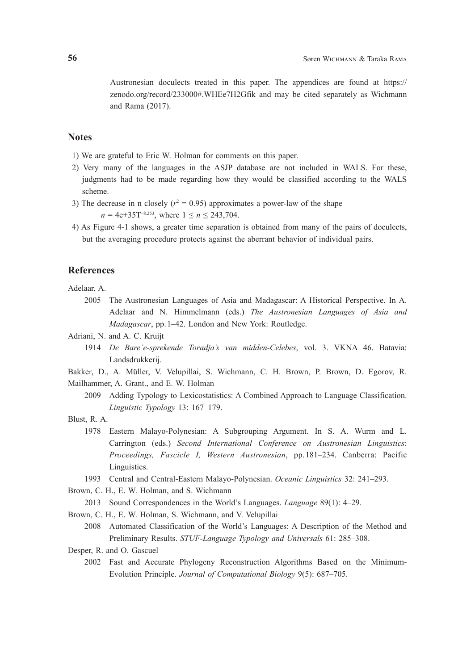Austronesian doculects treated in this paper. The appendices are found at https:// zenodo.org/record/233000#.WHEe7H2Gfik and may be cited separately as Wichmann and Rama (2017).

#### **Notes**

- 1) We are grateful to Eric W. Holman for comments on this paper.
- 2) Very many of the languages in the ASJP database are not included in WALS. For these, judgments had to be made regarding how they would be classified according to the WALS scheme.
- 3) The decrease in n closely  $(r^2 = 0.95)$  approximates a power-law of the shape  $n = 4e+35T^{-8.253}$ , where  $1 \le n \le 243,704$ .
- 4) As Figure 4-1 shows, a greater time separation is obtained from many of the pairs of doculects, but the averaging procedure protects against the aberrant behavior of individual pairs.

#### **References**

Adelaar, A.

 2005 The Austronesian Languages of Asia and Madagascar: A Historical Perspective. In A. Adelaar and N. Himmelmann (eds.) *The Austronesian Languages of Asia and Madagascar*, pp.1–42. London and New York: Routledge.

Adriani, N. and A. C. Kruijt

- 1914 *De Bare'e-sprekende Toradja's van midden-Celebes*, vol. 3. VKNA 46. Batavia: Landsdrukkerij.
- Bakker, D., A. Müller, V. Velupillai, S. Wichmann, C. H. Brown, P. Brown, D. Egorov, R. Mailhammer, A. Grant., and E. W. Holman
	- 2009 Adding Typology to Lexicostatistics: A Combined Approach to Language Classification. *Linguistic Typology* 13: 167–179.
- Blust, R. A.
	- 1978 Eastern Malayo-Polynesian: A Subgrouping Argument. In S. A. Wurm and L. Carrington (eds.) *Second International Conference on Austronesian Linguistics*: *Proceedings, Fascicle I, Western Austronesian*, pp.181–234. Canberra: Pacific Linguistics.
	- 1993 Central and Central-Eastern Malayo-Polynesian. *Oceanic Linguistics* 32: 241–293.
- Brown, C. H., E. W. Holman, and S. Wichmann

2013 Sound Correspondences in the World's Languages. *Language* 89(1): 4–29.

- Brown, C. H., E. W. Holman, S. Wichmann, and V. Velupillai
- 2008 Automated Classification of the World's Languages: A Description of the Method and Preliminary Results. *STUF-Language Typology and Universals* 61: 285–308.
- Desper, R. and O. Gascuel
	- 2002 Fast and Accurate Phylogeny Reconstruction Algorithms Based on the Minimum-Evolution Principle. *Journal of Computational Biology* 9(5): 687–705.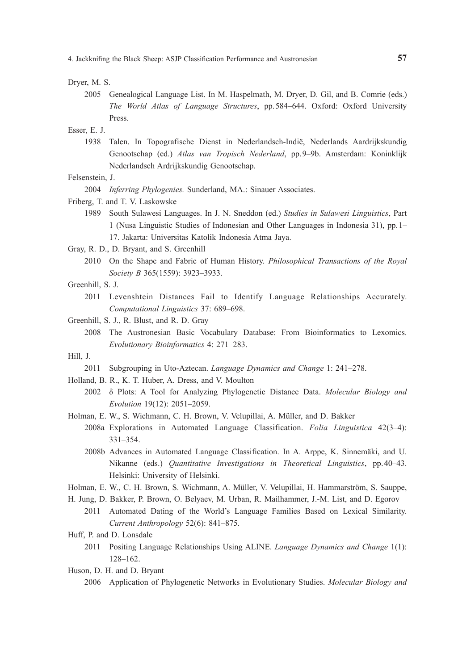Dryer, M. S.

 2005 Genealogical Language List. In M. Haspelmath, M. Dryer, D. Gil, and B. Comrie (eds.) *The World Atlas of Language Structures*, pp.584–644. Oxford: Oxford University Press.

Esser, E. J.

 1938 Talen. In Topografische Dienst in Nederlandsch-Indië, Nederlands Aardrijkskundig Genootschap (ed.) *Atlas van Tropisch Nederland*, pp.9–9b. Amsterdam: Koninklijk Nederlandsch Ardrijkskundig Genootschap.

Felsenstein, J.

2004 *Inferring Phylogenies.* Sunderland, MA.: Sinauer Associates.

Friberg, T. and T. V. Laskowske

- 1989 South Sulawesi Languages. In J. N. Sneddon (ed.) *Studies in Sulawesi Linguistics*, Part 1 (Nusa Linguistic Studies of Indonesian and Other Languages in Indonesia 31), pp.1– 17. Jakarta: Universitas Katolik Indonesia Atma Jaya.
- Gray, R. D., D. Bryant, and S. Greenhill
	- 2010 On the Shape and Fabric of Human History. *Philosophical Transactions of the Royal Society B* 365(1559): 3923–3933.
- Greenhill, S. J.
	- 2011 Levenshtein Distances Fail to Identify Language Relationships Accurately. *Computational Linguistics* 37: 689–698.
- Greenhill, S. J., R. Blust, and R. D. Gray
	- 2008 The Austronesian Basic Vocabulary Database: From Bioinformatics to Lexomics. *Evolutionary Bioinformatics* 4: 271–283.

Hill, J.

- 2011 Subgrouping in Uto-Aztecan. *Language Dynamics and Change* 1: 241–278.
- Holland, B. R., K. T. Huber, A. Dress, and V. Moulton
	- 2002 δ Plots: A Tool for Analyzing Phylogenetic Distance Data. *Molecular Biology and Evolution* 19(12): 2051–2059.
- Holman, E. W., S. Wichmann, C. H. Brown, V. Velupillai, A. Müller, and D. Bakker
	- 2008a Explorations in Automated Language Classification. *Folia Linguistica* 42(3–4): 331–354.
		- 2008b Advances in Automated Language Classification. In A. Arppe, K. Sinnemäki, and U. Nikanne (eds.) *Quantitative Investigations in Theoretical Linguistics*, pp.40–43. Helsinki: University of Helsinki.
- Holman, E. W., C. H. Brown, S. Wichmann, A. Müller, V. Velupillai, H. Hammarström, S. Sauppe,
- H. Jung, D. Bakker, P. Brown, O. Belyaev, M. Urban, R. Mailhammer, J.-M. List, and D. Egorov
	- 2011 Automated Dating of the World's Language Families Based on Lexical Similarity. *Current Anthropology* 52(6): 841–875.

Huff, P. and D. Lonsdale

- 2011 Positing Language Relationships Using ALINE. *Language Dynamics and Change* 1(1): 128–162.
- Huson, D. H. and D. Bryant
	- 2006 Application of Phylogenetic Networks in Evolutionary Studies. *Molecular Biology and*